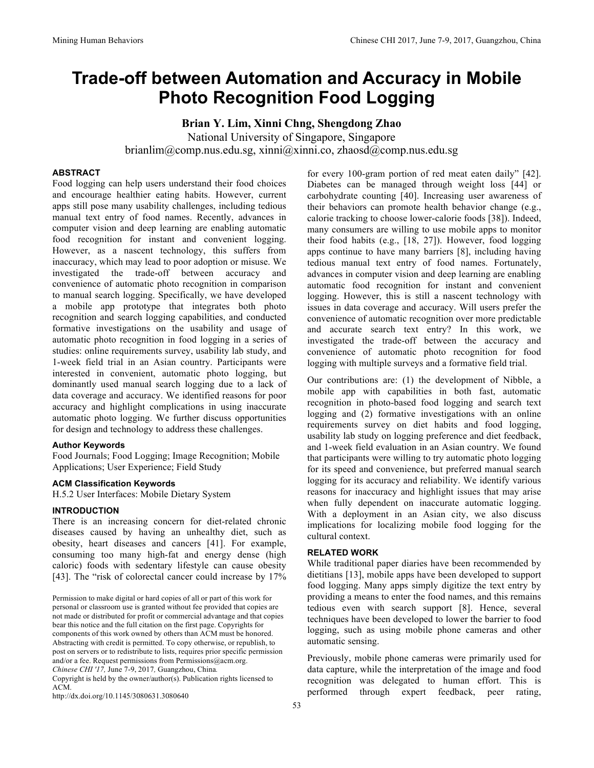# **Trade-off between Automation and Accuracy in Mobile Photo Recognition Food Logging**

**Brian Y. Lim, Xinni Chng, Shengdong Zhao** National University of Singapore, Singapore brianlim@comp.nus.edu.sg, xinni@xinni.co, zhaosd@comp.nus.edu.sg

# **ABSTRACT**

Food logging can help users understand their food choices and encourage healthier eating habits. However, current apps still pose many usability challenges, including tedious manual text entry of food names. Recently, advances in computer vision and deep learning are enabling automatic food recognition for instant and convenient logging. However, as a nascent technology, this suffers from inaccuracy, which may lead to poor adoption or misuse. We investigated the trade-off between accuracy and convenience of automatic photo recognition in comparison to manual search logging. Specifically, we have developed a mobile app prototype that integrates both photo recognition and search logging capabilities, and conducted formative investigations on the usability and usage of automatic photo recognition in food logging in a series of studies: online requirements survey, usability lab study, and 1-week field trial in an Asian country. Participants were interested in convenient, automatic photo logging, but dominantly used manual search logging due to a lack of data coverage and accuracy. We identified reasons for poor accuracy and highlight complications in using inaccurate automatic photo logging. We further discuss opportunities for design and technology to address these challenges.

#### **Author Keywords**

Food Journals; Food Logging; Image Recognition; Mobile Applications; User Experience; Field Study

## **ACM Classification Keywords**

H.5.2 User Interfaces: Mobile Dietary System

## **INTRODUCTION**

There is an increasing concern for diet-related chronic diseases caused by having an unhealthy diet, such as obesity, heart diseases and cancers [41]. For example, consuming too many high-fat and energy dense (high caloric) foods with sedentary lifestyle can cause obesity [43]. The "risk of colorectal cancer could increase by 17%

Copyright is held by the owner/author(s). Publication rights licensed to ACM.

http://dx.doi.org/10.1145/3080631.3080640

for every 100-gram portion of red meat eaten daily" [42]. Diabetes can be managed through weight loss [44] or carbohydrate counting [40]. Increasing user awareness of their behaviors can promote health behavior change (e.g., calorie tracking to choose lower-calorie foods [38]). Indeed, many consumers are willing to use mobile apps to monitor their food habits (e.g., [18, 27]). However, food logging apps continue to have many barriers [8], including having tedious manual text entry of food names. Fortunately, advances in computer vision and deep learning are enabling automatic food recognition for instant and convenient logging. However, this is still a nascent technology with issues in data coverage and accuracy. Will users prefer the convenience of automatic recognition over more predictable and accurate search text entry? In this work, we investigated the trade-off between the accuracy and convenience of automatic photo recognition for food logging with multiple surveys and a formative field trial.

Our contributions are: (1) the development of Nibble, a mobile app with capabilities in both fast, automatic recognition in photo-based food logging and search text logging and (2) formative investigations with an online requirements survey on diet habits and food logging, usability lab study on logging preference and diet feedback, and 1-week field evaluation in an Asian country. We found that participants were willing to try automatic photo logging for its speed and convenience, but preferred manual search logging for its accuracy and reliability. We identify various reasons for inaccuracy and highlight issues that may arise when fully dependent on inaccurate automatic logging. With a deployment in an Asian city, we also discuss implications for localizing mobile food logging for the cultural context.

## **RELATED WORK**

While traditional paper diaries have been recommended by dietitians [13], mobile apps have been developed to support food logging. Many apps simply digitize the text entry by providing a means to enter the food names, and this remains tedious even with search support [8]. Hence, several techniques have been developed to lower the barrier to food logging, such as using mobile phone cameras and other automatic sensing.

Previously, mobile phone cameras were primarily used for data capture, while the interpretation of the image and food recognition was delegated to human effort. This is performed through expert feedback, peer rating,

Permission to make digital or hard copies of all or part of this work for personal or classroom use is granted without fee provided that copies are not made or distributed for profit or commercial advantage and that copies bear this notice and the full citation on the first page. Copyrights for components of this work owned by others than ACM must be honored. Abstracting with credit is permitted. To copy otherwise, or republish, to post on servers or to redistribute to lists, requires prior specific permission and/or a fee. Request permissions from Permissions@acm.org. *Chinese CHI '17,* June 7-9, 2017*,* Guangzhou, China*.*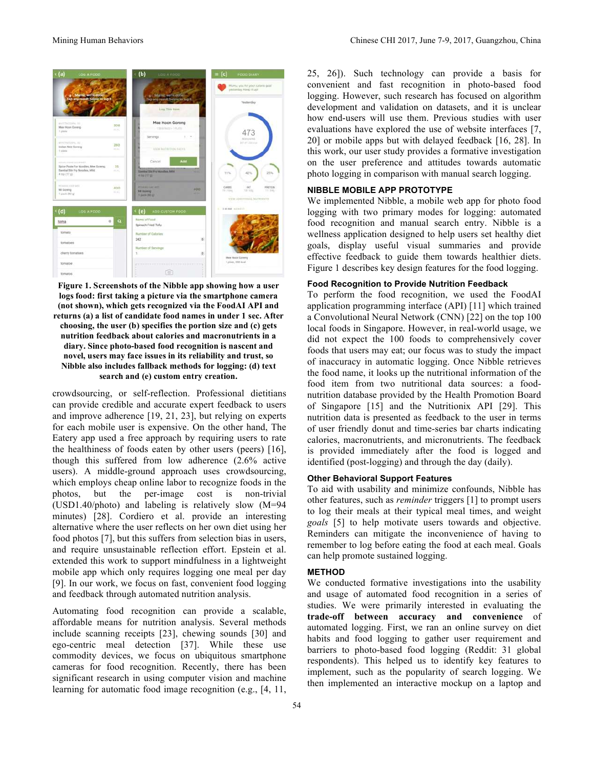

**Figure 1. Screenshots of the Nibble app showing how a user logs food: first taking a picture via the smartphone camera (not shown), which gets recognized via the FoodAI API and returns (a) a list of candidate food names in under 1 sec. After choosing, the user (b) specifies the portion size and (c) gets nutrition feedback about calories and macronutrients in a diary. Since photo-based food recognition is nascent and novel, users may face issues in its reliability and trust, so Nibble also includes fallback methods for logging: (d) text search and (e) custom entry creation.**

crowdsourcing, or self-reflection. Professional dietitians can provide credible and accurate expert feedback to users and improve adherence [19, 21, 23], but relying on experts for each mobile user is expensive. On the other hand, The Eatery app used a free approach by requiring users to rate the healthiness of foods eaten by other users (peers) [16], though this suffered from low adherence (2.6% active users). A middle-ground approach uses crowdsourcing, which employs cheap online labor to recognize foods in the photos, but the per-image cost is non-trivial (USD1.40/photo) and labeling is relatively slow (M=94 minutes) [28]. Cordiero et al. provide an interesting alternative where the user reflects on her own diet using her food photos [7], but this suffers from selection bias in users, and require unsustainable reflection effort. Epstein et al. extended this work to support mindfulness in a lightweight mobile app which only requires logging one meal per day [9]. In our work, we focus on fast, convenient food logging and feedback through automated nutrition analysis.

Automating food recognition can provide a scalable, affordable means for nutrition analysis. Several methods include scanning receipts [23], chewing sounds [30] and ego-centric meal detection [37]. While these use commodity devices, we focus on ubiquitous smartphone cameras for food recognition. Recently, there has been significant research in using computer vision and machine learning for automatic food image recognition (e.g., [4, 11,

25, 26]). Such technology can provide a basis for convenient and fast recognition in photo-based food logging. However, such research has focused on algorithm development and validation on datasets, and it is unclear how end-users will use them. Previous studies with user evaluations have explored the use of website interfaces [7, 20] or mobile apps but with delayed feedback [16, 28]. In this work, our user study provides a formative investigation on the user preference and attitudes towards automatic photo logging in comparison with manual search logging.

## **NIBBLE MOBILE APP PROTOTYPE**

We implemented Nibble, a mobile web app for photo food logging with two primary modes for logging: automated food recognition and manual search entry. Nibble is a wellness application designed to help users set healthy diet goals, display useful visual summaries and provide effective feedback to guide them towards healthier diets. Figure 1 describes key design features for the food logging.

#### **Food Recognition to Provide Nutrition Feedback**

To perform the food recognition, we used the FoodAI application programming interface (API) [11] which trained a Convolutional Neural Network (CNN) [22] on the top 100 local foods in Singapore. However, in real-world usage, we did not expect the 100 foods to comprehensively cover foods that users may eat; our focus was to study the impact of inaccuracy in automatic logging. Once Nibble retrieves the food name, it looks up the nutritional information of the food item from two nutritional data sources: a foodnutrition database provided by the Health Promotion Board of Singapore [15] and the Nutritionix API [29]. This nutrition data is presented as feedback to the user in terms of user friendly donut and time-series bar charts indicating calories, macronutrients, and micronutrients. The feedback is provided immediately after the food is logged and identified (post-logging) and through the day (daily).

## **Other Behavioral Support Features**

To aid with usability and minimize confounds, Nibble has other features, such as *reminder* triggers [1] to prompt users to log their meals at their typical meal times, and weight *goals* [5] to help motivate users towards and objective. Reminders can mitigate the inconvenience of having to remember to log before eating the food at each meal. Goals can help promote sustained logging.

#### **METHOD**

We conducted formative investigations into the usability and usage of automated food recognition in a series of studies. We were primarily interested in evaluating the **trade-off between accuracy and convenience** of automated logging. First, we ran an online survey on diet habits and food logging to gather user requirement and barriers to photo-based food logging (Reddit: 31 global respondents). This helped us to identify key features to implement, such as the popularity of search logging. We then implemented an interactive mockup on a laptop and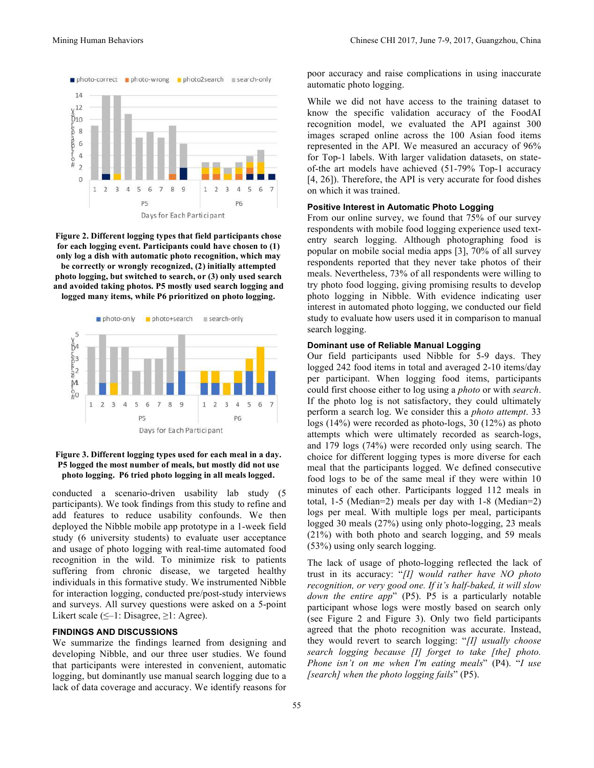

**Figure 2. Different logging types that field participants chose for each logging event. Participants could have chosen to (1) only log a dish with automatic photo recognition, which may be correctly or wrongly recognized, (2) initially attempted photo logging, but switched to search, or (3) only used search and avoided taking photos. P5 mostly used search logging and logged many items, while P6 prioritized on photo logging.**



#### **Figure 3. Different logging types used for each meal in a day. P5 logged the most number of meals, but mostly did not use photo logging. P6 tried photo logging in all meals logged.**

conducted a scenario-driven usability lab study (5 participants). We took findings from this study to refine and add features to reduce usability confounds. We then deployed the Nibble mobile app prototype in a 1-week field study (6 university students) to evaluate user acceptance and usage of photo logging with real-time automated food recognition in the wild. To minimize risk to patients suffering from chronic disease, we targeted healthy individuals in this formative study. We instrumented Nibble for interaction logging, conducted pre/post-study interviews and surveys. All survey questions were asked on a 5-point Likert scale ( $\leq -1$ : Disagree,  $\geq 1$ : Agree).

### **FINDINGS AND DISCUSSIONS**

We summarize the findings learned from designing and developing Nibble, and our three user studies. We found that participants were interested in convenient, automatic logging, but dominantly use manual search logging due to a lack of data coverage and accuracy. We identify reasons for

poor accuracy and raise complications in using inaccurate automatic photo logging.

While we did not have access to the training dataset to know the specific validation accuracy of the FoodAI recognition model, we evaluated the API against 300 images scraped online across the 100 Asian food items represented in the API. We measured an accuracy of 96% for Top-1 labels. With larger validation datasets, on stateof-the art models have achieved (51-79% Top-1 accuracy [4, 26]). Therefore, the API is very accurate for food dishes on which it was trained.

# **Positive Interest in Automatic Photo Logging**

From our online survey, we found that 75% of our survey respondents with mobile food logging experience used textentry search logging. Although photographing food is popular on mobile social media apps [3], 70% of all survey respondents reported that they never take photos of their meals. Nevertheless, 73% of all respondents were willing to try photo food logging, giving promising results to develop photo logging in Nibble. With evidence indicating user interest in automated photo logging, we conducted our field study to evaluate how users used it in comparison to manual search logging.

## **Dominant use of Reliable Manual Logging**

Our field participants used Nibble for 5-9 days. They logged 242 food items in total and averaged 2-10 items/day per participant. When logging food items, participants could first choose either to log using a *photo* or with *search*. If the photo log is not satisfactory, they could ultimately perform a search log. We consider this a *photo attempt*. 33 logs (14%) were recorded as photo-logs, 30 (12%) as photo attempts which were ultimately recorded as search-logs, and 179 logs (74%) were recorded only using search. The choice for different logging types is more diverse for each meal that the participants logged. We defined consecutive food logs to be of the same meal if they were within 10 minutes of each other. Participants logged 112 meals in total, 1-5 (Median=2) meals per day with 1-8 (Median=2) logs per meal. With multiple logs per meal, participants logged 30 meals (27%) using only photo-logging, 23 meals (21%) with both photo and search logging, and 59 meals (53%) using only search logging.

The lack of usage of photo-logging reflected the lack of trust in its accuracy: "*[I]* w*ould rather have NO photo recognition, or very good one. If it's half-baked, it will slow down the entire app*" (P5). P5 is a particularly notable participant whose logs were mostly based on search only (see Figure 2 and Figure 3). Only two field participants agreed that the photo recognition was accurate. Instead, they would revert to search logging: "*[I] usually choose search logging because [I] forget to take [the] photo. Phone isn't on me when I'm eating meals*" (P4). "*I use [search] when the photo logging fails*" (P5).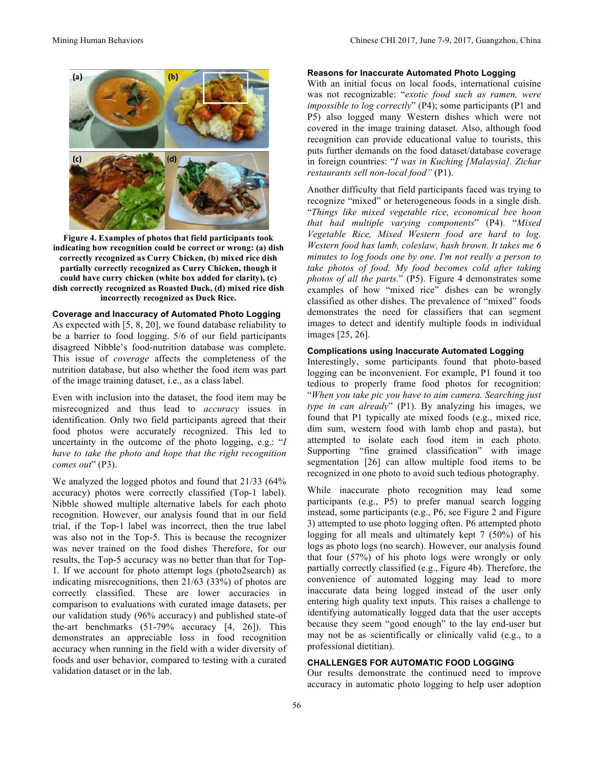

**Figure 4. Examples of photos that field participants took indicating how recognition could be correct or wrong: (a) dish correctly recognized as Curry Chicken, (b) mixed rice dish partially correctly recognized as Curry Chicken, though it could have curry chicken (white box added for clarity), (c) dish correctly recognized as Roasted Duck, (d) mixed rice dish incorrectly recognized as Duck Rice.**

# **Coverage and Inaccuracy of Automated Photo Logging**

As expected with [5, 8, 20], we found database reliability to be a barrier to food logging. 5/6 of our field participants disagreed Nibble's food-nutrition database was complete. This issue of *coverage* affects the completeness of the nutrition database, but also whether the food item was part of the image training dataset, i.e., as a class label.

Even with inclusion into the dataset, the food item may be misrecognized and thus lead to *accuracy* issues in identification. Only two field participants agreed that their food photos were accurately recognized. This led to uncertainty in the outcome of the photo logging, e.g.: "*I have to take the photo and hope that the right recognition comes out*" (P3).

We analyzed the logged photos and found that 21/33 (64% accuracy) photos were correctly classified (Top-1 label). Nibble showed multiple alternative labels for each photo recognition. However, our analysis found that in our field trial, if the Top-1 label was incorrect, then the true label was also not in the Top-5. This is because the recognizer was never trained on the food dishes Therefore, for our results, the Top-5 accuracy was no better than that for Top-1. If we account for photo attempt logs (photo2search) as indicating misrecognitions, then 21/63 (33%) of photos are correctly classified. These are lower accuracies in comparison to evaluations with curated image datasets, per our validation study (96% accuracy) and published state-of the-art benchmarks (51-79% accuracy [4, 26]). This demonstrates an appreciable loss in food recognition accuracy when running in the field with a wider diversity of foods and user behavior, compared to testing with a curated validation dataset or in the lab.

#### **Reasons for Inaccurate Automated Photo Logging**

With an initial focus on local foods, international cuisine was not recognizable: "*exotic food such as ramen, were impossible to log correctly*" (P4); some participants (P1 and P5) also logged many Western dishes which were not covered in the image training dataset. Also, although food recognition can provide educational value to tourists, this puts further demands on the food dataset/database coverage in foreign countries: "*I was in Kuching [Malaysia]. Zichar restaurants sell non-local food"* (P1).

Another difficulty that field participants faced was trying to recognize "mixed" or heterogeneous foods in a single dish. "*Things like mixed vegetable rice, economical bee hoon that had multiple varying components*" (P4). "*Mixed Vegetable Rice, Mixed Western food are hard to log. Western food has lamb, coleslaw, hash brown. It takes me 6 minutes to log foods one by one. I'm not really a person to take photos of food. My food becomes cold after taking photos of all the parts.*" (P5). Figure 4 demonstrates some examples of how "mixed rice" dishes can be wrongly classified as other dishes. The prevalence of "mixed" foods demonstrates the need for classifiers that can segment images to detect and identify multiple foods in individual images [25, 26].

# **Complications using Inaccurate Automated Logging**

Interestingly, some participants found that photo-based logging can be inconvenient. For example, P1 found it too tedious to properly frame food photos for recognition: "*When you take pic you have to aim camera. Searching just type in can already*" (P1). By analyzing his images, we found that P1 typically ate mixed foods (e.g., mixed rice, dim sum, western food with lamb chop and pasta), but attempted to isolate each food item in each photo. Supporting "fine grained classification" with image segmentation [26] can allow multiple food items to be recognized in one photo to avoid such tedious photography.

While inaccurate photo recognition may lead some participants (e.g., P5) to prefer manual search logging instead, some participants (e.g., P6, see Figure 2 and Figure 3) attempted to use photo logging often. P6 attempted photo logging for all meals and ultimately kept 7 (50%) of his logs as photo logs (no search). However, our analysis found that four (57%) of his photo logs were wrongly or only partially correctly classified (e.g., Figure 4b). Therefore, the convenience of automated logging may lead to more inaccurate data being logged instead of the user only entering high quality text inputs. This raises a challenge to identifying automatically logged data that the user accepts because they seem "good enough" to the lay end-user but may not be as scientifically or clinically valid (e.g., to a professional dietitian).

# **CHALLENGES FOR AUTOMATIC FOOD LOGGING**

Our results demonstrate the continued need to improve accuracy in automatic photo logging to help user adoption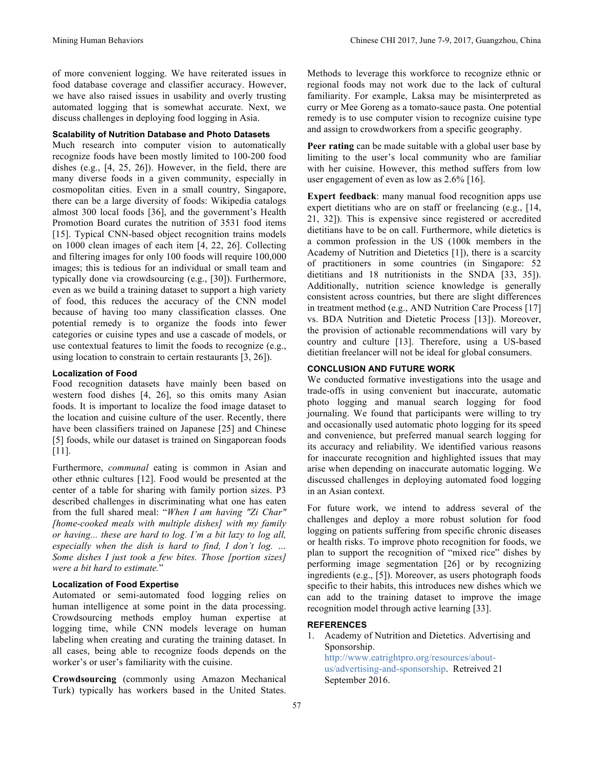of more convenient logging. We have reiterated issues in food database coverage and classifier accuracy. However, we have also raised issues in usability and overly trusting automated logging that is somewhat accurate. Next, we discuss challenges in deploying food logging in Asia.

# **Scalability of Nutrition Database and Photo Datasets**

Much research into computer vision to automatically recognize foods have been mostly limited to 100-200 food dishes (e.g., [4, 25, 26]). However, in the field, there are many diverse foods in a given community, especially in cosmopolitan cities. Even in a small country, Singapore, there can be a large diversity of foods: Wikipedia catalogs almost 300 local foods [36], and the government's Health Promotion Board curates the nutrition of 3531 food items [15]. Typical CNN-based object recognition trains models on 1000 clean images of each item [4, 22, 26]. Collecting and filtering images for only 100 foods will require 100,000 images; this is tedious for an individual or small team and typically done via crowdsourcing (e.g., [30]). Furthermore, even as we build a training dataset to support a high variety of food, this reduces the accuracy of the CNN model because of having too many classification classes. One potential remedy is to organize the foods into fewer categories or cuisine types and use a cascade of models, or use contextual features to limit the foods to recognize (e.g., using location to constrain to certain restaurants [3, 26]).

## **Localization of Food**

Food recognition datasets have mainly been based on western food dishes [4, 26], so this omits many Asian foods. It is important to localize the food image dataset to the location and cuisine culture of the user. Recently, there have been classifiers trained on Japanese [25] and Chinese [5] foods, while our dataset is trained on Singaporean foods [11].

Furthermore, *communal* eating is common in Asian and other ethnic cultures [12]. Food would be presented at the center of a table for sharing with family portion sizes. P3 described challenges in discriminating what one has eaten from the full shared meal: "*When I am having "Zi Char" [home-cooked meals with multiple dishes] with my family or having... these are hard to log. I'm a bit lazy to log all, especially when the dish is hard to find, I don't log. … Some dishes I just took a few bites. Those [portion sizes] were a bit hard to estimate.*"

## **Localization of Food Expertise**

Automated or semi-automated food logging relies on human intelligence at some point in the data processing. Crowdsourcing methods employ human expertise at logging time, while CNN models leverage on human labeling when creating and curating the training dataset. In all cases, being able to recognize foods depends on the worker's or user's familiarity with the cuisine.

**Crowdsourcing** (commonly using Amazon Mechanical Turk) typically has workers based in the United States.

Methods to leverage this workforce to recognize ethnic or regional foods may not work due to the lack of cultural familiarity. For example, Laksa may be misinterpreted as curry or Mee Goreng as a tomato-sauce pasta. One potential remedy is to use computer vision to recognize cuisine type and assign to crowdworkers from a specific geography.

**Peer rating** can be made suitable with a global user base by limiting to the user's local community who are familiar with her cuisine. However, this method suffers from low user engagement of even as low as 2.6% [16].

**Expert feedback**: many manual food recognition apps use expert dietitians who are on staff or freelancing (e.g., [14,] 21, 32]). This is expensive since registered or accredited dietitians have to be on call. Furthermore, while dietetics is a common profession in the US (100k members in the Academy of Nutrition and Dietetics [1]), there is a scarcity of practitioners in some countries (in Singapore: 52 dietitians and 18 nutritionists in the SNDA [33, 35]). Additionally, nutrition science knowledge is generally consistent across countries, but there are slight differences in treatment method (e.g., AND Nutrition Care Process [17] vs. BDA Nutrition and Dietetic Process [13]). Moreover, the provision of actionable recommendations will vary by country and culture [13]. Therefore, using a US-based dietitian freelancer will not be ideal for global consumers.

## **CONCLUSION AND FUTURE WORK**

We conducted formative investigations into the usage and trade-offs in using convenient but inaccurate, automatic photo logging and manual search logging for food journaling. We found that participants were willing to try and occasionally used automatic photo logging for its speed and convenience, but preferred manual search logging for its accuracy and reliability. We identified various reasons for inaccurate recognition and highlighted issues that may arise when depending on inaccurate automatic logging. We discussed challenges in deploying automated food logging in an Asian context.

For future work, we intend to address several of the challenges and deploy a more robust solution for food logging on patients suffering from specific chronic diseases or health risks. To improve photo recognition for foods, we plan to support the recognition of "mixed rice" dishes by performing image segmentation [26] or by recognizing ingredients (e.g., [5]). Moreover, as users photograph foods specific to their habits, this introduces new dishes which we can add to the training dataset to improve the image recognition model through active learning [33].

# **REFERENCES**

1. Academy of Nutrition and Dietetics. Advertising and Sponsorship. http://www.eatrightpro.org/resources/aboutus/advertising-and-sponsorship. Retreived 21 September 2016.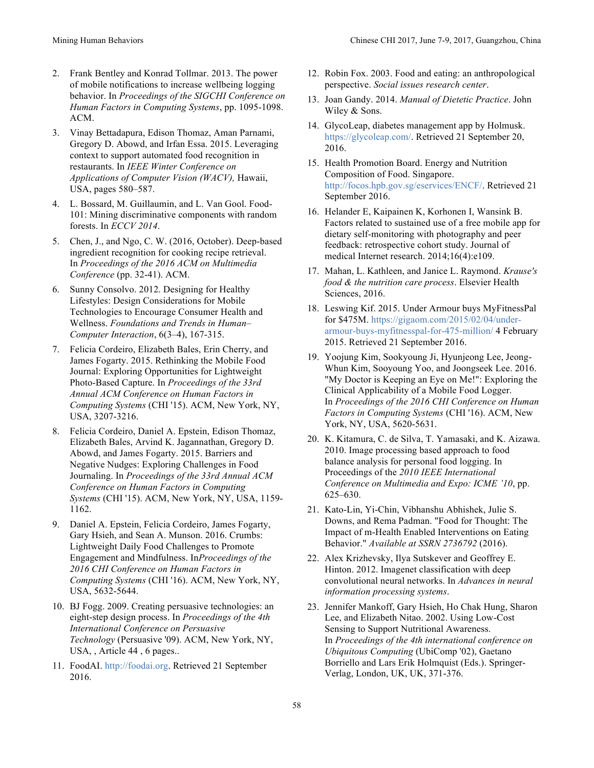- 2. Frank Bentley and Konrad Tollmar. 2013. The power of mobile notifications to increase wellbeing logging behavior. In *Proceedings of the SIGCHI Conference on Human Factors in Computing Systems*, pp. 1095-1098. ACM.
- 3. Vinay Bettadapura, Edison Thomaz, Aman Parnami, Gregory D. Abowd, and Irfan Essa. 2015. Leveraging context to support automated food recognition in restaurants. In *IEEE Winter Conference on Applications of Computer Vision (WACV),* Hawaii, USA, pages 580–587.
- 4. L. Bossard, M. Guillaumin, and L. Van Gool. Food-101: Mining discriminative components with random forests. In *ECCV 2014*.
- 5. Chen, J., and Ngo, C. W. (2016, October). Deep-based ingredient recognition for cooking recipe retrieval. In *Proceedings of the 2016 ACM on Multimedia Conference* (pp. 32-41). ACM.
- 6. Sunny Consolvo. 2012. Designing for Healthy Lifestyles: Design Considerations for Mobile Technologies to Encourage Consumer Health and Wellness. *Foundations and Trends in Human– Computer Interaction*, 6(3–4), 167-315.
- 7. Felicia Cordeiro, Elizabeth Bales, Erin Cherry, and James Fogarty. 2015. Rethinking the Mobile Food Journal: Exploring Opportunities for Lightweight Photo-Based Capture. In *Proceedings of the 33rd Annual ACM Conference on Human Factors in Computing Systems* (CHI '15). ACM, New York, NY, USA, 3207-3216.
- 8. Felicia Cordeiro, Daniel A. Epstein, Edison Thomaz, Elizabeth Bales, Arvind K. Jagannathan, Gregory D. Abowd, and James Fogarty. 2015. Barriers and Negative Nudges: Exploring Challenges in Food Journaling. In *Proceedings of the 33rd Annual ACM Conference on Human Factors in Computing Systems* (CHI '15). ACM, New York, NY, USA, 1159- 1162.
- 9. Daniel A. Epstein, Felicia Cordeiro, James Fogarty, Gary Hsieh, and Sean A. Munson. 2016. Crumbs: Lightweight Daily Food Challenges to Promote Engagement and Mindfulness. In*Proceedings of the 2016 CHI Conference on Human Factors in Computing Systems* (CHI '16). ACM, New York, NY, USA, 5632-5644.
- 10. BJ Fogg. 2009. Creating persuasive technologies: an eight-step design process. In *Proceedings of the 4th International Conference on Persuasive Technology* (Persuasive '09). ACM, New York, NY, USA, , Article 44 , 6 pages..
- 11. FoodAI. http://foodai.org. Retrieved 21 September 2016.
- 12. Robin Fox. 2003. Food and eating: an anthropological perspective. *Social issues research center*.
- 13. Joan Gandy. 2014. *Manual of Dietetic Practice*. John Wiley & Sons.
- 14. GlycoLeap, diabetes management app by Holmusk. https://glycoleap.com/. Retrieved 21 September 20, 2016.
- 15. Health Promotion Board. Energy and Nutrition Composition of Food. Singapore. http://focos.hpb.gov.sg/eservices/ENCF/. Retrieved 21 September 2016.
- 16. Helander E, Kaipainen K, Korhonen I, Wansink B. Factors related to sustained use of a free mobile app for dietary self-monitoring with photography and peer feedback: retrospective cohort study. Journal of medical Internet research. 2014;16(4):e109.
- 17. Mahan, L. Kathleen, and Janice L. Raymond. *Krause's food & the nutrition care process*. Elsevier Health Sciences, 2016.
- 18. Leswing Kif. 2015. Under Armour buys MyFitnessPal for \$475M. https://gigaom.com/2015/02/04/underarmour-buys-myfitnesspal-for-475-million/ 4 February 2015. Retrieved 21 September 2016.
- 19. Yoojung Kim, Sookyoung Ji, Hyunjeong Lee, Jeong-Whun Kim, Sooyoung Yoo, and Joongseek Lee. 2016. "My Doctor is Keeping an Eye on Me!": Exploring the Clinical Applicability of a Mobile Food Logger. In *Proceedings of the 2016 CHI Conference on Human Factors in Computing Systems* (CHI '16). ACM, New York, NY, USA, 5620-5631.
- 20. K. Kitamura, C. de Silva, T. Yamasaki, and K. Aizawa. 2010. Image processing based approach to food balance analysis for personal food logging. In Proceedings of the *2010 IEEE International Conference on Multimedia and Expo: ICME '10*, pp. 625–630.
- 21. Kato-Lin, Yi-Chin, Vibhanshu Abhishek, Julie S. Downs, and Rema Padman. "Food for Thought: The Impact of m-Health Enabled Interventions on Eating Behavior." *Available at SSRN 2736792* (2016).
- 22. Alex Krizhevsky, Ilya Sutskever and Geoffrey E. Hinton. 2012. Imagenet classification with deep convolutional neural networks. In *Advances in neural information processing systems*.
- 23. Jennifer Mankoff, Gary Hsieh, Ho Chak Hung, Sharon Lee, and Elizabeth Nitao. 2002. Using Low-Cost Sensing to Support Nutritional Awareness. In *Proceedings of the 4th international conference on Ubiquitous Computing* (UbiComp '02), Gaetano Borriello and Lars Erik Holmquist (Eds.). Springer-Verlag, London, UK, UK, 371-376.